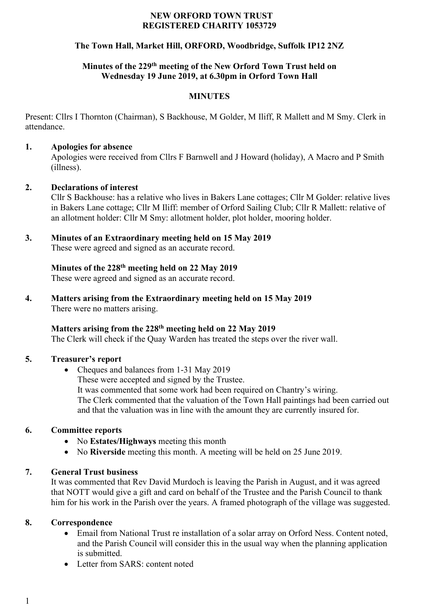#### **NEW ORFORD TOWN TRUST REGISTERED CHARITY 1053729**

# **The Town Hall, Market Hill, ORFORD, Woodbridge, Suffolk IP12 2NZ**

# **Minutes of the 229th meeting of the New Orford Town Trust held on Wednesday 19 June 2019, at 6.30pm in Orford Town Hall**

#### **MINUTES**

Present: Cllrs I Thornton (Chairman), S Backhouse, M Golder, M Iliff, R Mallett and M Smy. Clerk in attendance.

#### **1. Apologies for absence**

Apologies were received from Cllrs F Barnwell and J Howard (holiday), A Macro and P Smith (illness).

#### **2. Declarations of interest**

Cllr S Backhouse: has a relative who lives in Bakers Lane cottages; Cllr M Golder: relative lives in Bakers Lane cottage; Cllr M Iliff: member of Orford Sailing Club; Cllr R Mallett: relative of an allotment holder: Cllr M Smy: allotment holder, plot holder, mooring holder.

#### **3. Minutes of an Extraordinary meeting held on 15 May 2019**

These were agreed and signed as an accurate record.

# **Minutes of the 228 th meeting held on 22 May 2019**

These were agreed and signed as an accurate record.

#### **4. Matters arising from the Extraordinary meeting held on 15 May 2019** There were no matters arising.

# **Matters arising from the 228 th meeting held on 22 May 2019**

The Clerk will check if the Quay Warden has treated the steps over the river wall.

# **5. Treasurer's report**

- Cheques and balances from 1-31 May 2019
	- These were accepted and signed by the Trustee.

It was commented that some work had been required on Chantry's wiring.

The Clerk commented that the valuation of the Town Hall paintings had been carried out and that the valuation was in line with the amount they are currently insured for.

# **6. Committee reports**

- No **Estates/Highways** meeting this month
- No **Riverside** meeting this month. A meeting will be held on 25 June 2019.

# **7. General Trust business**

It was commented that Rev David Murdoch is leaving the Parish in August, and it was agreed that NOTT would give a gift and card on behalf of the Trustee and the Parish Council to thank him for his work in the Parish over the years. A framed photograph of the village was suggested.

# **8. Correspondence**

- Email from National Trust re installation of a solar array on Orford Ness. Content noted, and the Parish Council will consider this in the usual way when the planning application is submitted.
- Letter from SARS: content noted